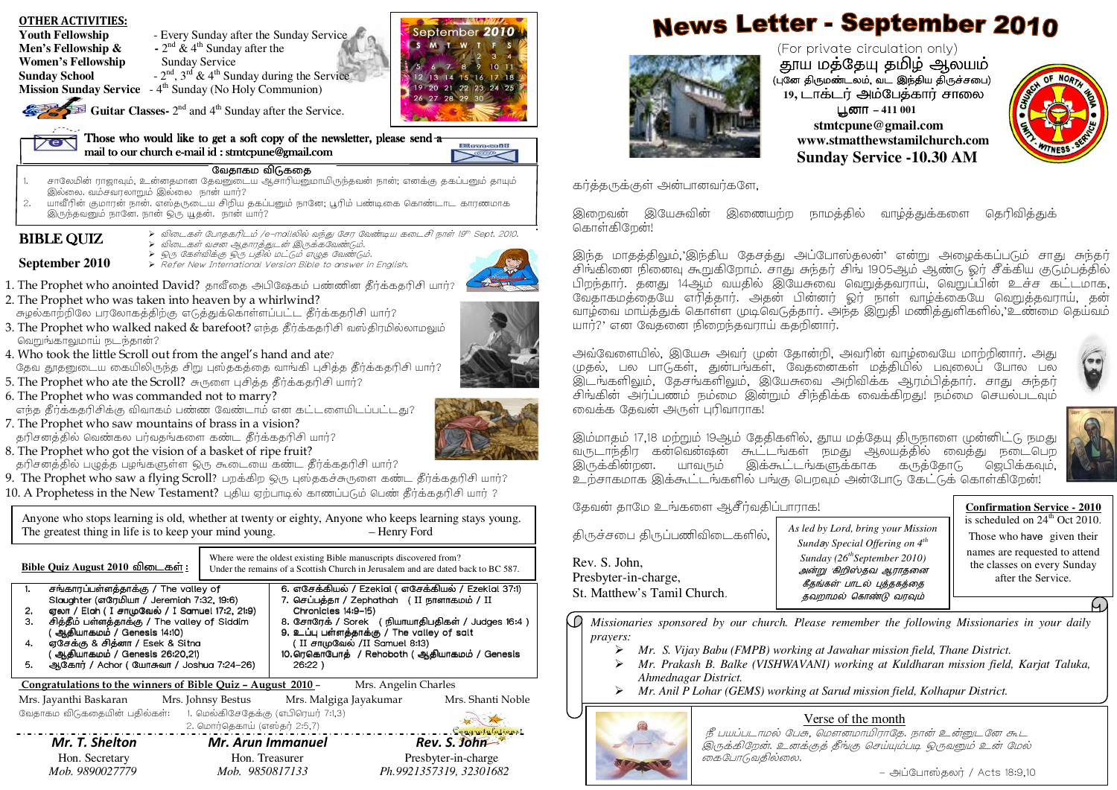September 2010 Youth Fellowship - Every Sunday after the Sunday Service  $S-M$   $T-W$   $T$ **Men's Fellowship &**  $\cdot$   $2^{nd}$  &  $4^{th}$  Sunday after the (For private circulation only) **Women's Fellowship •• Sunday Service** ்தூய மத்தேயு தமிழ் ஆலயம்<br>மன் திங்ண் லட் வட இந்திய திநச்சனும் **Sunday School**  $-2^{nd}$ ,  $3^{rd}$  &  $4^{th}$  Sunday during the Service 13 14 15 16 17 18 (புனே திருமண்டலம், வட இந்திய திருச்சபை)<br>-**Mission Sunday Service** - 4<sup>th</sup> Sunday (No Holy Communion) 19 20 21 22 23 24 25 19, டாக்டர் அம்பேத்கார் சாலை 26 27 28 29 30  $\leftarrow$ Guitar Classes- 2<sup>nd</sup> and 4<sup>th</sup> Sunday after the Service. C'**– 411 001 stmtcpune@gmail.com** Those who would like to get a soft copy of the newsletter, please send  $\frac{1}{\sigma}$ **www.stmatthewstamilchurch.com** Emeil mail to our church e-mail id  $:$  stmtcpune@gmail.com  $\overline{\phantom{a}}$ **SEER Sunday Service -10.30 AM**வேதாகம விடுகதை . சாலேமின் ராஜாவும், உன்னதமான தேவனுடைய ஆசாரியனுமாயிருந்தவன் நான்; எனக்கு தகப்பனும் தாயும் .<br>காத்தருக்குள் அன்பானவர்களே, 1.இல்லை. வம்சவரலாறும் இல்லை நான் யார்? 2.. யாவீரின் குமாரன் நான். எஸ்தருடைய சிறிய தகப்பனும் நானே; பூரிம் பண்டிகை கொண்டாட காரணமாக இறைவன் இயேசுவின் இணையற்ற நாமத்தில் வாழ்த்துக்களை தெரிவித்துக் இருந்தவனும் நானே. நான் ஒரு யூதன். நான் யார்? கொள்கிறேன்! > விடைகள் போதகரிடம் /e–mailலில் வந்து சேர வேண்டிய கடைசி நாள் 19th Sept. 2010.<br>> -ிய = + > = = > = = + = + → = + = டைச்செ **BIBLE QUIZ** ) விடைகள் வசன ஆதாரத்துடன் இருக்கவேண்டும்.<br>December 2011 - 2003 பெயர்ப்பட்ட காரணியர்பெ ≻ ஒரு கேள்விக்கு ஒரு பதில் மட்டும் எழுத வேண்டும்.<br>≻ Refer New International Version Bible to answer in English.<br>' **September 2010**1. The Prophet who anointed David? தாவீதை அபிஷேகம் பண்ணின தீர்க்கதரிசி யார்? 2. The Prophet who was taken into heaven by a whirlwind? சுழல்காற்றிலே பரலோகத்திற்கு எடுத்துக்கொள்ளப்பட்ட தீர்க்கதரிசி யார்? யார்?' என வேக்னை நிறைந்தவாரய் ககறினார். 3. The Prophet who walked naked & barefoot? எந்த தீர்க்கதரிசி வஸ்திரமில்லாமலும் F:\_\Q 0)/ ? அவவேளையில், இயேசு அவர் முன் தோன்றி, அவரின் வாழ்வையே மாற்றினார். அது தேவ தூதனுடைய கையிலிருந்த சிறு புஸ்தகத்தை வாங்கி புசித்த தீர்க்கதரிசி யார்? முதல், பல பாடுகள், துன்பங்கள், வேதனைகள் மத்தியில் பவுலைப் போல பல இடங்களிலும், தேசங்களிலும், இயேசுவை அறிவிக்க ஆரம்பித்தார். சாது சுந்தர் 5. The Prophet who ate the Scroll? சுருளை புசித்த தீர்க்கதரிசி யார்? சிங்கின் அர்ப்பணம் நம்மை இன்றும் சிந்திக்க வைக்கிறது! நம்மை செயல்படவம் எந்த தீர்க்கதரிசிக்கு விவாகம் பண்ண வேண்டாம் என கட்டளையிடப்பட்டது? வைக்க தேவன் அருள் புரிவாராக! 7. The Prophet who saw mountains of brass in a vision? தரிசனத்தில் வெண்கல பர்வதங்களை கண்ட தீர்க்கதரிசி யார்? இம்மாகம் 17,18 மற்றும் 19ஆம் கேகிகளில், தூய மக்கேய கிருநாளை முன்னிட்டு நமது வருடாந்திர கன்வென்ஷன் கூட்டங்கள் நமது ஆலயத்தில் வைத்து நடைபெற தரிசனத்தில் பழுத்த பழங்களுள்ள ஒரு கூடையை கண்ட தீர்க்கதரிசி யார்? இருக்கின்றன. யாவரும் இக்கூட்டங்களுக்காக கருத்தோடு ஜெபிக்கவும், 9. The Prophet who saw a flying Scroll? பறக்கிற ஒரு புஸ்தகச்சுருளை கண்ட தீர்க்கதரிசி யார்? உற்சாகமாக இக்கூட்டங்களில் பங்கு பெறவும் அன்போடு கேட்டுக் கொள்கிறேன்!  $10$ .  $\mathrm A$  Prophetess in the New Testament? புதிய ஏற்பாடில் காணப்படும் பெண் தீர்க்கதரிசி யார் ? தேவன் தாமே உங்களை ஆசீர்வதிப்பாராக! **Confirmation Service - 2010**Anyone who stops learning is old, whether at twenty or eighty, Anyone who keeps learning stays young. *As led by Lord, bring your Mission* The greatest thing in life is to keep your mind young. – Henry Ford கிருச்சபை கிருப்பணிவிடைகளில். *Sund*a*y Special Offering on 4th Sunday (26thSeptember 2010)* Where were the oldest existing Bible manuscripts discovered from? Rev. S. John, $Bible$  Quiz August 2010 விடைகள் <u>ள</u> : Under the remains of a Scottish Church in Jerusalem and are dated back to BC 587. அன்று 'கிறிஸ்தவ ஆராதனை Presbyter-in-charge, after the Service. கீகங்கள்<sup>,</sup> பாடல் பக்ககக்கை St. Matthew's Tamil Church. 1. \_!56JUS34/Thevalleyof /Thevalleyof Slaughter. எசேக்கியல் எசேக்கியல் / Ezekial ( எசேக்கியல் எசேக்கியல்<br>- < - = = = = = 23M\*9/Ezekial37:1 Ezekial37:1 Ezekial37:1) 6.தவறாமல் கொண்டு வரவும் Slaughter (எரேமியா / Jeremiah 7:32, 19:6) 7.. செப்பத்தா / Zephathah Zephathah (II நாளாகமம் pnளாகமம் / II . ஏலா / Elah ( I சாமுவேல் / I Samuel I Samuel 17:2, 21:9) Chronicles 14:9–15) 2.Chronicles. – சித்தீம் பள்ளத்தாக்கு சித்தீம் பள்ளத்தாக்கு / The valley of Siddim<br>(அ.சியாகமும் / Genecis 14:10) சோரேக் / Sorek ( நியாயாதிபதிகள் / Judges 16:4 ) WΩ *Missionaries sponsored by our church. Please remember the following Missionaries in your daily* 3.8.. சோரேக் ( ஆகியாகமம் ஆ்தியாகமம் / Genesis 14:10)<br>இசுக்க வெள்ளா ( Fash Cath . உப்பு பள்ளத்தாக்கு / The valley of salt 9.The valley of salt *prayers:* ஏசேக்கு & சித்னா / Esek & Sitna 4.. ஏசேக்கு & /Esek&Sitna/Esek&Sitna (II சாமுவேல் /II Samuel 8 /II Samuel 8:13) *Mr. S. Vijay Babu (FMPB) working at Jawahar mission field, Thane District.*  ( ஆதியாகமம் ஆதியாகமம் ஆதியாகமம் / Genesis 26:20,21) 10. ரெகொபோத் ரெகொபோத் / Rehoboth Rehoboth ( ஆதியாகமம் ஆதியாகமம் / Genesis Rehoboth5.. ஆகோர் / Achor / Achor ( யோசுவா / Joshua 7:24-26) 26:22)*Ahmednagar District.*  Congratulations to the winners of Bible Quiz – August 2010 – Mrs. Angelin Charles *Mr. Anil P Lohar (GEMS) working at Sarud mission field, Kolhapur District.*  Mrs. Jayanthi Baskaran Mrs. Johnsy Bestus Mrs. Malgiga Jayakumar Mrs. Shanti Noble ் 6வதாகம விடுகதையின் பதில்கள்: 1. மெல்கிசேதேக்கு (எபிரெயர் 7:1,3) Verse of the month $2.6$ மார்தெகாய் (எஸ்தர்  $2:5,7$ ) நீ பயப்படாமல் பேசு, மௌனமாயிராதே. நான் உன்னுடனே கூட Mr. T. Shelton Mr. Arun Immanuel Rev. S. John இருக்கிறேன். உனக்குத் தீங்கு செய்யும்படி ஒருவனும் உன் மேல்

- அப்போஸ்தலர் / Acts 18:9,10

|    | Bible Ouiz August 2010 விடைகள்:                                                   |                              | Where were the oldest existing Bible manuscripts discovered from?<br>Under the remains of a Scottish Church in Jerusalem and are dated back to BC 587. |                      |                                                    |
|----|-----------------------------------------------------------------------------------|------------------------------|--------------------------------------------------------------------------------------------------------------------------------------------------------|----------------------|----------------------------------------------------|
| 1. | சங்காரப்பள்ளத்தாக்கு / The valley of<br>Slaughter (எரேமியா / Jeremiah 7:32, 19:6) |                              | 6. எசேக்கியல் / Ezekial ( எசேக்கியல் / Ezekial 37:1)<br>7. செப்பத்தா / Zephathah (II நாளாகமம் / II                                                     |                      |                                                    |
| 2. | ஏலா / Elah ( I சாமுவேல் / I Samuel 17:2, 21:9)                                    |                              | Chronicles 14:9-15)                                                                                                                                    |                      |                                                    |
| З. | சித்தீம் பள்ளத்தாக்கு / The valley of Siddim<br>( அ.தியாகமம் / Genesis 14:10)     |                              | 9. உப்பு பள்ளத்தாக்கு / The valley of salt                                                                                                             |                      | 8. சோரேக் / Sorek ( நியாயாதிபதிகள் / Judges 16:4 ) |
| 4. | ஏசேக்கு & சித்னா / Esek & Sitna                                                   |                              | (II சாமுவேல் /II Samuel 8:13)                                                                                                                          |                      |                                                    |
|    | ( ஆதியாகமம் / Genesis 26:20,21)                                                   |                              | 10. ரெகொபோத் / Rehoboth (ஆதியாகமம் / Genesis                                                                                                           |                      |                                                    |
| 5. | ஆகோர் / Achor (யோசுவா / Joshua 7:24-26)                                           |                              | $26:22$ )                                                                                                                                              |                      |                                                    |
|    |                                                                                   |                              |                                                                                                                                                        |                      |                                                    |
|    | Congratulations to the winners of Bible Quiz - August 2010 -                      |                              |                                                                                                                                                        | Mrs. Angelin Charles |                                                    |
|    | Mrs. Jayanthi Baskaran Mrs. Johnsy Bestus Mrs. Malgiga Jayakumar                  |                              |                                                                                                                                                        |                      | Mrs. Shanti Noble                                  |
|    | வேதாகம விடுகதையின் பதில்கள்:      1. மெல்கிசேதேக்கு (எபிரெயர் 7:1,3)              |                              |                                                                                                                                                        |                      |                                                    |
|    |                                                                                   | 2. மொர்தெகாய் (எஸ்தர் 2:5,7) |                                                                                                                                                        |                      |                                                    |
|    | Mr. T. Shelton                                                                    | <b>Mr. Arun Immanuel</b>     |                                                                                                                                                        |                      | Congratulations!<br>Rev. S. John                   |
|    | Hon. Secretary                                                                    | Hon. Treasurer               |                                                                                                                                                        |                      | Presbyter-in-charge                                |

# **News Letter - September 2010**



இந்த மாதத்திலும், இந்திய தேசத்து அப்போஸ்தலன்' என்று அழைக்கப்படும் சாது சுந்தர் .<br>சிங்கினை நினைவு கூறுகிறோம். சாது சுந்தர் சிங் 1905ஆம் ஆண்டு ஓர் சீக்கிய குடும்பத்தில் பிறந்தார். தனது 14ஆம் வயதில் இயேசுவை வெறுத்தவராய், வெறுப்பின் உச்ச கட்டமாக, வேதாகமத்தையே எரித்தார். அதன் பின்னர் ஓர் நாள் வாழ்க்கையே வெறுத்தவராய், தன் வாம்வை மாய்க்குக் கொள்ள முடிவெடுக்கார். அந்த இறுகி மணிக்குளிகளில் 'உண்மை கெய்வம்





*Mr. Prakash B. Balke (VISHWAVANI) working at Kuldharan mission field, Karjat Taluka,* 

கைபோடுவதில்லை.

OTHER ACTIVITIES:

- 
- 4. Who took the little Scroll out from the angel's hand and ate?
- 6. The Prophet who was commanded not to marry?

8. The Prophet who got the vision of a basket of ripe fruit?